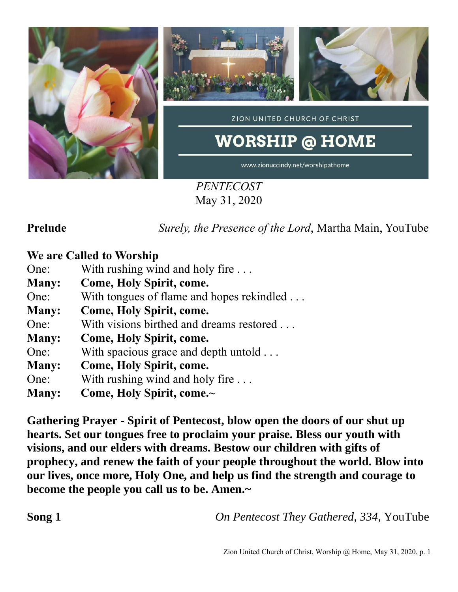

*PENTECOST* May 31, 2020

**Prelude** *Surely, the Presence of the Lord*, Martha Main, YouTube

### **We are Called to Worship**

One: With rushing wind and holy fire ...

- **Many: Come, Holy Spirit, come.**
- One: With tongues of flame and hopes rekindled . . .
- **Many: Come, Holy Spirit, come.**
- One: With visions birthed and dreams restored . . .
- **Many: Come, Holy Spirit, come.**
- One: With spacious grace and depth untold ...
- **Many: Come, Holy Spirit, come.**
- One: With rushing wind and holy fire ...
- **Many: Come, Holy Spirit, come.~**

**Gathering Prayer** - **Spirit of Pentecost, blow open the doors of our shut up hearts. Set our tongues free to proclaim your praise. Bless our youth with visions, and our elders with dreams. Bestow our children with gifts of prophecy, and renew the faith of your people throughout the world. Blow into our lives, once more, Holy One, and help us find the strength and courage to become the people you call us to be. Amen.~**

**Song 1** *On Pentecost They Gathered, 334, YouTube*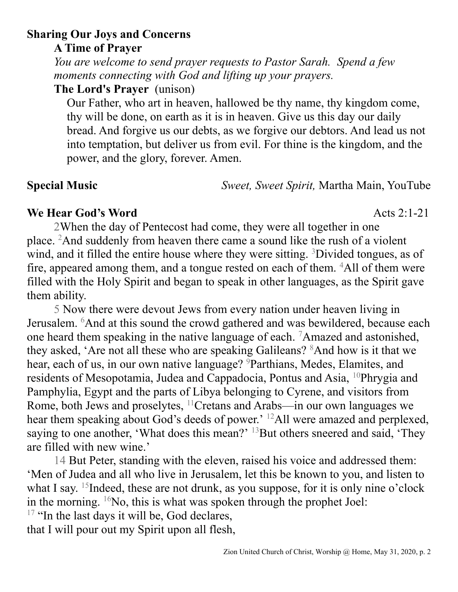# **Sharing Our Joys and Concerns**

**A Time of Prayer**

*You are welcome to send prayer requests to Pastor Sarah. Spend a few moments connecting with God and lifting up your prayers.*

**The Lord's Prayer** (unison)

Our Father, who art in heaven, hallowed be thy name, thy kingdom come, thy will be done, on earth as it is in heaven. Give us this day our daily bread. And forgive us our debts, as we forgive our debtors. And lead us not into temptation, but deliver us from evil. For thine is the kingdom, and the power, and the glory, forever. Amen.

**Special Music** *Sweet, Sweet Spirit,* Martha Main, YouTube

# **We Hear God's Word** Acts 2:1-21

2When the day of Pentecost had come, they were all together in one place. <sup>2</sup>And suddenly from heaven there came a sound like the rush of a violent wind, and it filled the entire house where they were sitting. <sup>3</sup>Divided tongues, as of fire, appeared among them, and a tongue rested on each of them. <sup>4</sup>All of them were filled with the Holy Spirit and began to speak in other languages, as the Spirit gave them ability.

5 Now there were devout Jews from every nation under heaven living in Jerusalem. <sup>6</sup>And at this sound the crowd gathered and was bewildered, because each one heard them speaking in the native language of each. <sup>7</sup>Amazed and astonished, they asked, 'Are not all these who are speaking Galileans? <sup>8</sup>And how is it that we hear, each of us, in our own native language? <sup>9</sup>Parthians, Medes, Elamites, and residents of Mesopotamia, Judea and Cappadocia, Pontus and Asia, <sup>10</sup>Phrygia and Pamphylia, Egypt and the parts of Libya belonging to Cyrene, and visitors from Rome, both Jews and proselytes, <sup>11</sup>Cretans and Arabs—in our own languages we hear them speaking about God's deeds of power.' <sup>12</sup>All were amazed and perplexed, saying to one another, 'What does this mean?'  $^{13}$ But others sneered and said, 'They are filled with new wine.'

14 But Peter, standing with the eleven, raised his voice and addressed them: 'Men of Judea and all who live in Jerusalem, let this be known to you, and listen to what I say. <sup>15</sup>Indeed, these are not drunk, as you suppose, for it is only nine o'clock in the morning.  $\frac{16}{10}$ No, this is what was spoken through the prophet Joel:

<sup>17</sup> "In the last days it will be, God declares, that I will pour out my Spirit upon all flesh,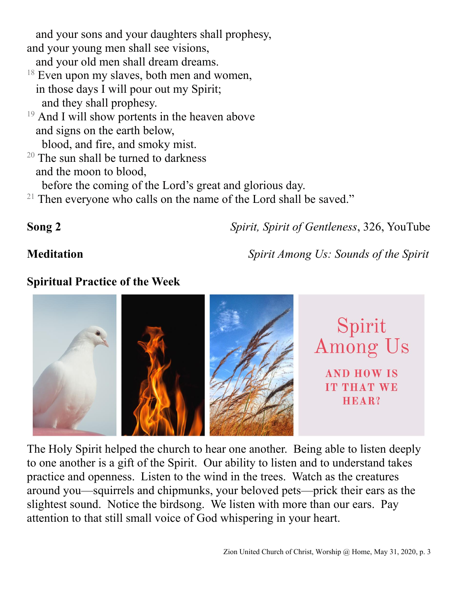and your sons and your daughters shall prophesy, and your young men shall see visions,

and your old men shall dream dreams.

- $18$  Even upon my slaves, both men and women, in those days I will pour out my Spirit; and they shall prophesy.
- $19$  And I will show portents in the heaven above and signs on the earth below,

blood, and fire, and smoky mist.

 $20$  The sun shall be turned to darkness and the moon to blood,

before the coming of the Lord's great and glorious day.

 $21$  Then everyone who calls on the name of the Lord shall be saved."

**Song 2** *Spirit, Spirit of Gentleness*, 326, YouTube

**Meditation** *Spirit Among Us: Sounds of the Spirit*

## **Spiritual Practice of the Week**



The Holy Spirit helped the church to hear one another. Being able to listen deeply to one another is a gift of the Spirit. Our ability to listen and to understand takes practice and openness. Listen to the wind in the trees. Watch as the creatures around you—squirrels and chipmunks, your beloved pets—prick their ears as the slightest sound. Notice the birdsong. We listen with more than our ears. Pay attention to that still small voice of God whispering in your heart.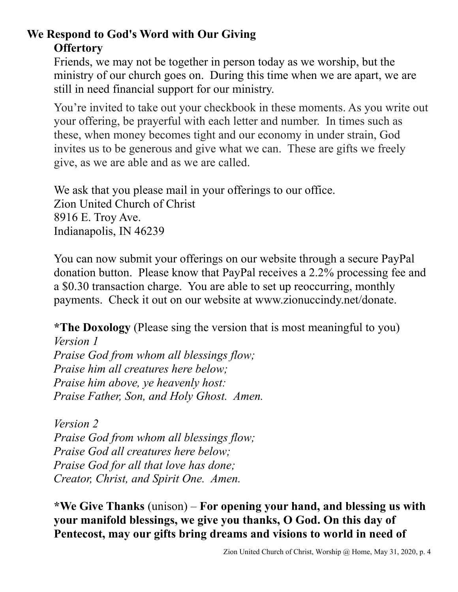# **We Respond to God's Word with Our Giving Offertory**

Friends, we may not be together in person today as we worship, but the ministry of our church goes on. During this time when we are apart, we are still in need financial support for our ministry.

You're invited to take out your checkbook in these moments. As you write out your offering, be prayerful with each letter and number. In times such as these, when money becomes tight and our economy in under strain, God invites us to be generous and give what we can. These are gifts we freely give, as we are able and as we are called.

We ask that you please mail in your offerings to our office. Zion United Church of Christ 8916 E. Troy Ave. Indianapolis, IN 46239

You can now submit your offerings on our website through a secure PayPal donation button. Please know that PayPal receives a 2.2% processing fee and a \$0.30 transaction charge. You are able to set up reoccurring, monthly payments. Check it out on our website at www.zionuccindy.net/donate.

**\*The Doxology** (Please sing the version that is most meaningful to you)

*Version 1 Praise God from whom all blessings flow; Praise him all creatures here below; Praise him above, ye heavenly host: Praise Father, Son, and Holy Ghost. Amen.*

*Version 2 Praise God from whom all blessings flow; Praise God all creatures here below; Praise God for all that love has done; Creator, Christ, and Spirit One. Amen.* 

**\*We Give Thanks** (unison) – **For opening your hand, and blessing us with your manifold blessings, we give you thanks, O God. On this day of Pentecost, may our gifts bring dreams and visions to world in need of**